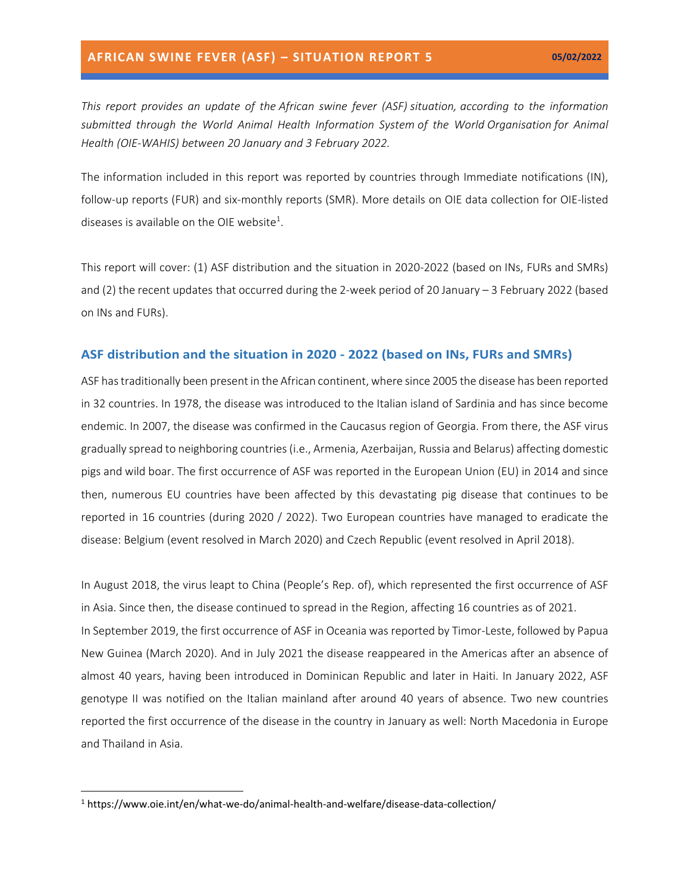*This report provides an update of the African swine fever (ASF) situation, according to the information submitted through the World Animal Health Information System of the World Organisation for Animal Health (OIE-WAHIS) between 20 January and 3 February 2022.*

The information included in this report was reported by countries through Immediate notifications (IN), follow-up reports (FUR) and six-monthly reports (SMR). More details on OIE data collection for OIE-listed diseases is available on the OIE website<sup>1</sup>.

This report will cover: (1) ASF distribution and the situation in 2020-2022 (based on INs, FURs and SMRs) and (2) the recent updates that occurred during the 2-week period of 20 January – 3 February 2022 (based on INs and FURs).

#### **ASF distribution and the situation in 2020 - 2022 (based on INs, FURs and SMRs)**

ASF has traditionally been present in the African continent, where since 2005 the disease has been reported in 32 countries. In 1978, the disease was introduced to the Italian island of Sardinia and has since become endemic. In 2007, the disease was confirmed in the Caucasus region of Georgia. From there, the ASF virus gradually spread to neighboring countries (i.e., Armenia, Azerbaijan, Russia and Belarus) affecting domestic pigs and wild boar. The first occurrence of ASF was reported in the European Union (EU) in 2014 and since then, numerous EU countries have been affected by this devastating pig disease that continues to be reported in 16 countries (during 2020 / 2022). Two European countries have managed to eradicate the disease: Belgium (event resolved in March 2020) and Czech Republic (event resolved in April 2018).

In August 2018, the virus leapt to China (People's Rep. of), which represented the first occurrence of ASF in Asia. Since then, the disease continued to spread in the Region, affecting 16 countries as of 2021. In September 2019, the first occurrence of ASF in Oceania was reported by Timor-Leste, followed by Papua New Guinea (March 2020). And in July 2021 the disease reappeared in the Americas after an absence of almost 40 years, having been introduced in Dominican Republic and later in Haiti. In January 2022, ASF genotype II was notified on the Italian mainland after around 40 years of absence. Two new countries reported the first occurrence of the disease in the country in January as well: North Macedonia in Europe and Thailand in Asia.

<sup>1</sup> https://www.oie.int/en/what-we-do/animal-health-and-welfare/disease-data-collection/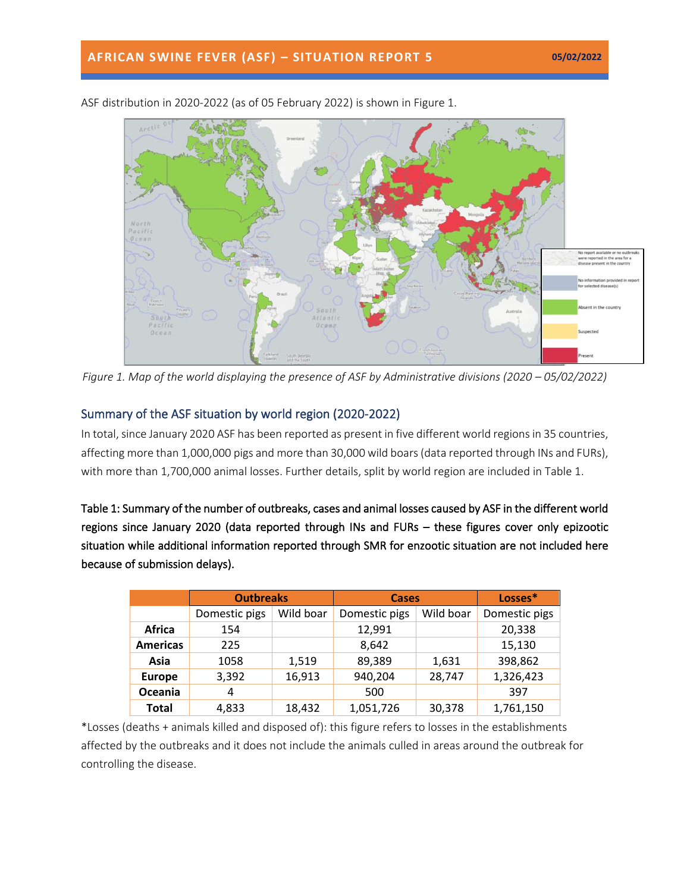

ASF distribution in 2020-2022 (as of 05 February 2022) is shown in Figure 1.

*Figure 1. Map of the world displaying the presence of ASF by Administrative divisions (2020 – 05/02/2022)* 

## Summary of the ASF situation by world region (2020-2022)

In total, since January 2020 ASF has been reported as present in five different world regions in 35 countries, affecting more than 1,000,000 pigs and more than 30,000 wild boars(data reported through INs and FURs), with more than 1,700,000 animal losses. Further details, split by world region are included in Table 1.

Table 1: Summary of the number of outbreaks, cases and animal losses caused by ASF in the different world regions since January 2020 (data reported through INs and FURs – these figures cover only epizootic situation while additional information reported through SMR for enzootic situation are not included here because of submission delays).

|                 | <b>Outbreaks</b> |           | <b>Cases</b>  |           | Losses*       |
|-----------------|------------------|-----------|---------------|-----------|---------------|
|                 | Domestic pigs    | Wild boar | Domestic pigs | Wild boar | Domestic pigs |
| Africa          | 154              |           | 12,991        |           | 20,338        |
| <b>Americas</b> | 225              |           | 8,642         |           | 15,130        |
| Asia            | 1058             | 1,519     | 89,389        | 1,631     | 398,862       |
| <b>Europe</b>   | 3,392            | 16,913    | 940,204       | 28,747    | 1,326,423     |
| Oceania         | 4                |           | 500           |           | 397           |
| <b>Total</b>    | 4,833            | 18,432    | 1,051,726     | 30,378    | 1,761,150     |

\*Losses (deaths + animals killed and disposed of): this figure refers to losses in the establishments affected by the outbreaks and it does not include the animals culled in areas around the outbreak for controlling the disease.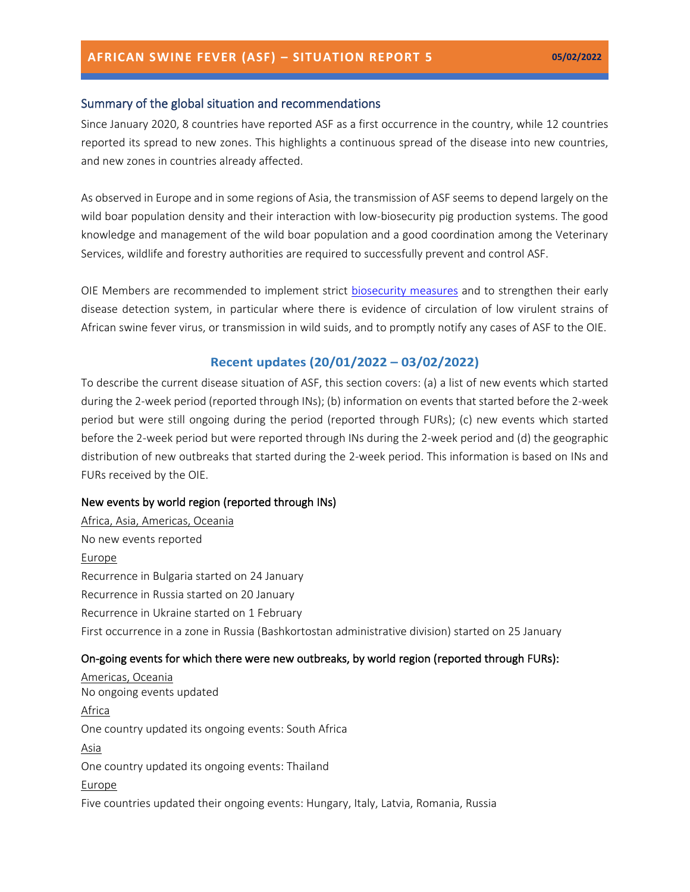## Summary of the global situation and recommendations

Since January 2020, 8 countries have reported ASF as a first occurrence in the country, while 12 countries reported its spread to new zones. This highlights a continuous spread of the disease into new countries, and new zones in countries already affected.

As observed in Europe and in some regions of Asia, the transmission of ASF seems to depend largely on the wild boar population density and their interaction with low-biosecurity pig production systems. The good knowledge and management of the wild boar population and a good coordination among the Veterinary Services, wildlife and forestry authorities are required to successfully prevent and control ASF.

OIE Members are recommended to implement strict [biosecurity measures](https://trello.com/c/jbPlhbq6/55-infographic-en-es-fr-ru-ch) and to strengthen their early disease detection system, in particular where there is evidence of circulation of low virulent strains of African swine fever virus, or transmission in wild suids, and to promptly notify any cases of ASF to the OIE.

## **Recent updates (20/01/2022 – 03/02/2022)**

To describe the current disease situation of ASF, this section covers: (a) a list of new events which started during the 2-week period (reported through INs); (b) information on events that started before the 2-week period but were still ongoing during the period (reported through FURs); (c) new events which started before the 2-week period but were reported through INs during the 2-week period and (d) the geographic distribution of new outbreaks that started during the 2-week period. This information is based on INs and FURs received by the OIE.

### New events by world region (reported through INs)

Africa, Asia, Americas, Oceania No new events reported **Europe** Recurrence in Bulgaria started on 24 January Recurrence in Russia started on 20 January Recurrence in Ukraine started on 1 February First occurrence in a zone in Russia (Bashkortostan administrative division) started on 25 January

## On-going events for which there were new outbreaks, by world region (reported through FURs):

Americas, Oceania No ongoing events updated **Africa** One country updated its ongoing events: South Africa Asia One country updated its ongoing events: Thailand **Europe** Five countries updated their ongoing events: Hungary, Italy, Latvia, Romania, Russia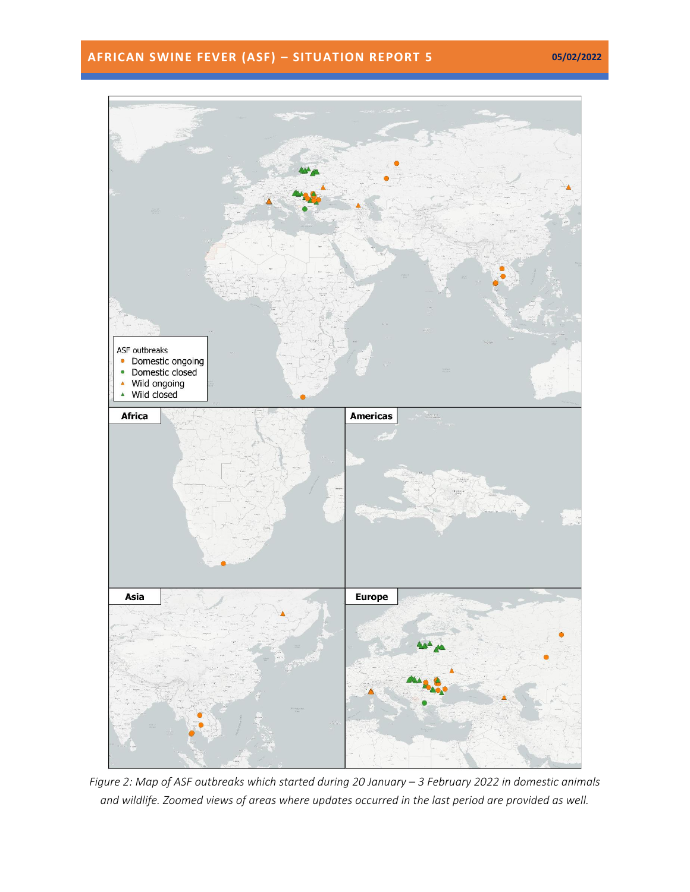# **AFRICAN SWINE FEVER (ASF) – SITUATION REPORT 5 05/02/2022**



*Figure 2: Map of ASF outbreaks which started during 20 January – 3 February 2022 in domestic animals and wildlife. Zoomed views of areas where updates occurred in the last period are provided as well.*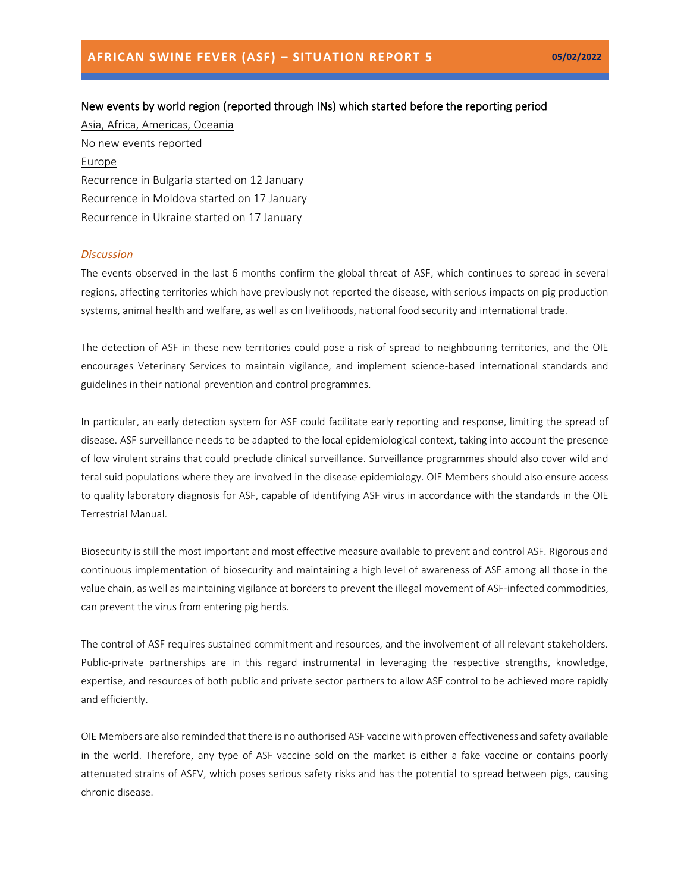## New events by world region (reported through INs) which started before the reporting period

Asia, Africa, Americas, Oceania No new events reported Europe Recurrence in Bulgaria started on 12 January Recurrence in Moldova started on 17 January Recurrence in Ukraine started on 17 January

#### *Discussion*

The events observed in the last 6 months confirm the global threat of ASF, which continues to spread in several regions, affecting territories which have previously not reported the disease, with serious impacts on pig production systems, animal health and welfare, as well as on livelihoods, national food security and international trade.

The detection of ASF in these new territories could pose a risk of spread to neighbouring territories, and the OIE encourages Veterinary Services to maintain vigilance, and implement science-based international standards and guidelines in their national prevention and control programmes.

In particular, an early detection system for ASF could facilitate early reporting and response, limiting the spread of disease. ASF surveillance needs to be adapted to the local epidemiological context, taking into account the presence of low virulent strains that could preclude clinical surveillance. Surveillance programmes should also cover wild and feral suid populations where they are involved in the disease epidemiology. OIE Members should also ensure access to quality laboratory diagnosis for ASF, capable of identifying ASF virus in accordance with the standards in the OIE Terrestrial Manual.

Biosecurity is still the most important and most effective measure available to prevent and control ASF. Rigorous and continuous implementation of biosecurity and maintaining a high level of awareness of ASF among all those in the value chain, as well as maintaining vigilance at borders to prevent the illegal movement of ASF-infected commodities, can prevent the virus from entering pig herds.

The control of ASF requires sustained commitment and resources, and the involvement of all relevant stakeholders. Public-private partnerships are in this regard instrumental in leveraging the respective strengths, knowledge, expertise, and resources of both public and private sector partners to allow ASF control to be achieved more rapidly and efficiently.

OIE Members are also reminded that there is no authorised ASF vaccine with proven effectiveness and safety available in the world. Therefore, any type of ASF vaccine sold on the market is either a fake vaccine or contains poorly attenuated strains of ASFV, which poses serious safety risks and has the potential to spread between pigs, causing chronic disease.